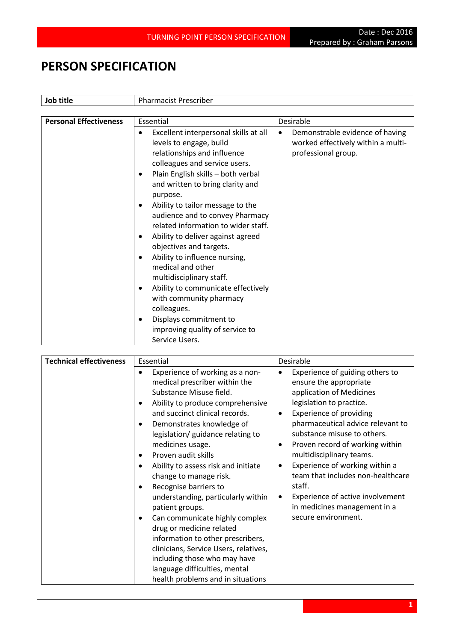## **PERSON SPECIFICATION**

| Job title                     | <b>Pharmacist Prescriber</b>                                                                                                                                                                                                                                                                                                                                                                                                                                                                                                                                                                                                                                                                        |                                                                                                           |
|-------------------------------|-----------------------------------------------------------------------------------------------------------------------------------------------------------------------------------------------------------------------------------------------------------------------------------------------------------------------------------------------------------------------------------------------------------------------------------------------------------------------------------------------------------------------------------------------------------------------------------------------------------------------------------------------------------------------------------------------------|-----------------------------------------------------------------------------------------------------------|
|                               |                                                                                                                                                                                                                                                                                                                                                                                                                                                                                                                                                                                                                                                                                                     |                                                                                                           |
| <b>Personal Effectiveness</b> | Essential                                                                                                                                                                                                                                                                                                                                                                                                                                                                                                                                                                                                                                                                                           | Desirable                                                                                                 |
|                               | Excellent interpersonal skills at all<br>٠<br>levels to engage, build<br>relationships and influence<br>colleagues and service users.<br>Plain English skills - both verbal<br>٠<br>and written to bring clarity and<br>purpose.<br>Ability to tailor message to the<br>audience and to convey Pharmacy<br>related information to wider staff.<br>Ability to deliver against agreed<br>$\bullet$<br>objectives and targets.<br>Ability to influence nursing,<br>$\bullet$<br>medical and other<br>multidisciplinary staff.<br>Ability to communicate effectively<br>٠<br>with community pharmacy<br>colleagues.<br>Displays commitment to<br>٠<br>improving quality of service to<br>Service Users. | Demonstrable evidence of having<br>$\bullet$<br>worked effectively within a multi-<br>professional group. |

| <b>Technical effectiveness</b> | Essential                                                                                                                                                                                                                                                                                                                                                                                                                                                                                                                                                                                                                                                                                                                    | Desirable                                                                                                                                                                                                                                                                                                                                                                                                                                                                                                   |
|--------------------------------|------------------------------------------------------------------------------------------------------------------------------------------------------------------------------------------------------------------------------------------------------------------------------------------------------------------------------------------------------------------------------------------------------------------------------------------------------------------------------------------------------------------------------------------------------------------------------------------------------------------------------------------------------------------------------------------------------------------------------|-------------------------------------------------------------------------------------------------------------------------------------------------------------------------------------------------------------------------------------------------------------------------------------------------------------------------------------------------------------------------------------------------------------------------------------------------------------------------------------------------------------|
|                                | Experience of working as a non-<br>$\bullet$<br>medical prescriber within the<br>Substance Misuse field.<br>Ability to produce comprehensive<br>٠<br>and succinct clinical records.<br>Demonstrates knowledge of<br>$\bullet$<br>legislation/ guidance relating to<br>medicines usage.<br>Proven audit skills<br>٠<br>Ability to assess risk and initiate<br>change to manage risk.<br>Recognise barriers to<br>٠<br>understanding, particularly within<br>patient groups.<br>Can communicate highly complex<br>drug or medicine related<br>information to other prescribers,<br>clinicians, Service Users, relatives,<br>including those who may have<br>language difficulties, mental<br>health problems and in situations | Experience of guiding others to<br>$\bullet$<br>ensure the appropriate<br>application of Medicines<br>legislation to practice.<br><b>Experience of providing</b><br>$\bullet$<br>pharmaceutical advice relevant to<br>substance misuse to others.<br>Proven record of working within<br>٠<br>multidisciplinary teams.<br>Experience of working within a<br>٠<br>team that includes non-healthcare<br>staff.<br>Experience of active involvement<br>٠<br>in medicines management in a<br>secure environment. |